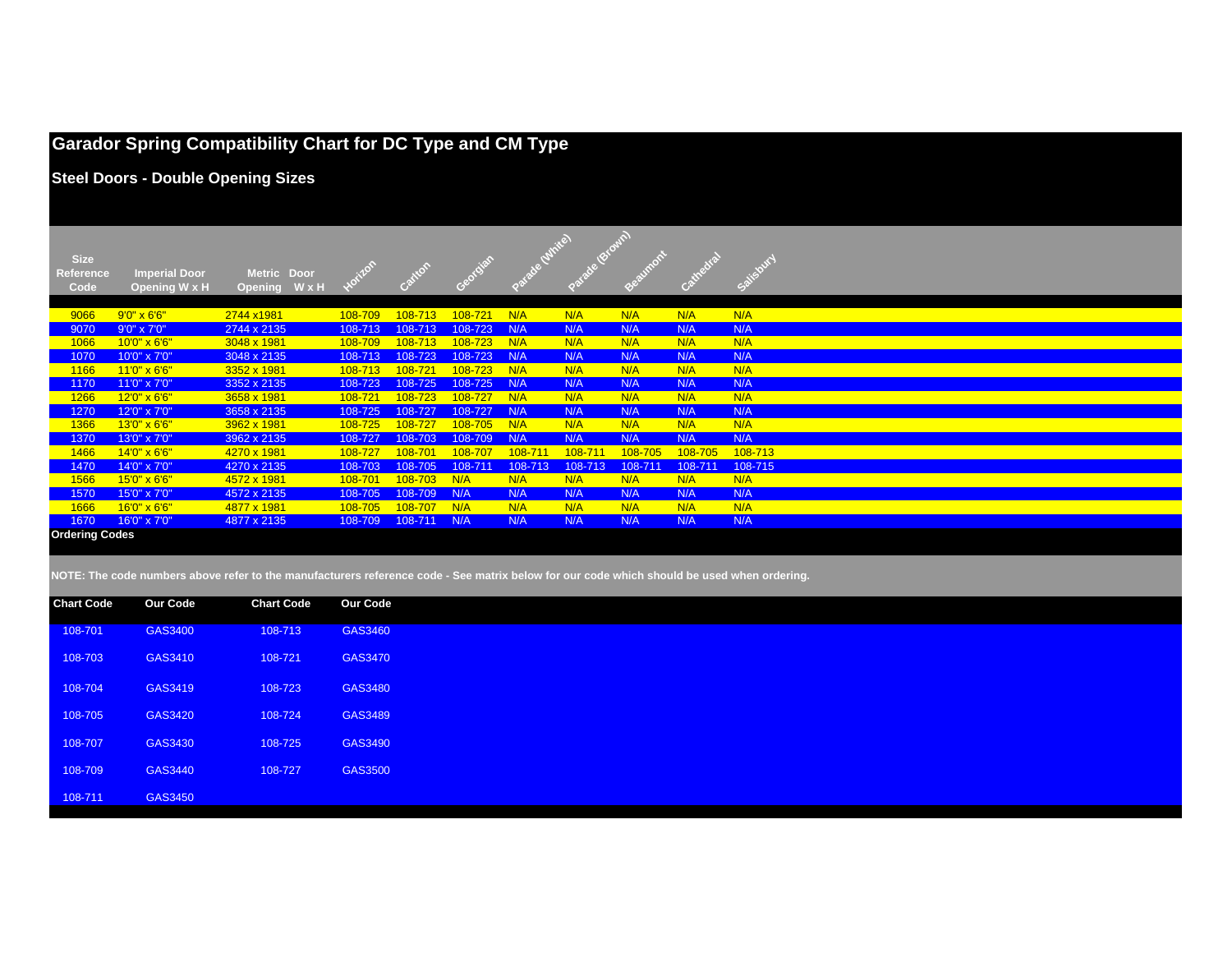|                                  |                                           | <b>Garador Spring Compatibility Chart for DC Type and CM Type</b> |             |         |                |         |         |         |         |           |  |
|----------------------------------|-------------------------------------------|-------------------------------------------------------------------|-------------|---------|----------------|---------|---------|---------|---------|-----------|--|
|                                  | <b>Steel Doors - Double Opening Sizes</b> |                                                                   |             |         |                |         |         |         |         |           |  |
| <b>Size</b><br>Reference<br>Code | <b>Imperial Door</b><br>Opening W x H     | Metric Door<br>WxH<br><b>Opening</b>                              | Hotizon     | Cartton | <b>Porcial</b> |         |         |         |         | Salisbury |  |
| 9066                             | $9'0'' \times 6'6''$                      | 2744 x1981                                                        | 108-709     | 108-713 | 108-721        | N/A     | N/A     | N/A     | N/A     | N/A       |  |
| 9070                             | 9'0" x 7'0"                               | 2744 x 2135                                                       | 108-713     | 108-713 | 108-723        | N/A     | N/A     | N/A     | N/A     | N/A       |  |
| 1066                             | 10'0" x 6'6"                              | 3048 x 1981                                                       | 108-709     | 108-713 | 108-723        | N/A     | N/A     | N/A     | N/A     | N/A       |  |
| 1070                             | 10'0" x 7'0"                              | 3048 x 2135                                                       | 108-713     | 108-723 | 108-723        | N/A     | N/A     | N/A     | N/A     | N/A       |  |
| 1166                             | 11'0" x 6'6"                              | 3352 x 1981                                                       | 108-713     | 108-721 | 108-723        | N/A     | N/A     | N/A     | N/A     | N/A       |  |
| 1170                             | 11'0" x 7'0"                              | 3352 x 2135                                                       | 108-723     | 108-725 | 108-725        | N/A     | N/A     | N/A     | N/A     | N/A       |  |
| 1266                             | 12'0" x 6'6"                              | 3658 x 1981                                                       | $108 - 721$ | 108-723 | 108-727        | N/A     | N/A     | N/A     | N/A     | N/A       |  |
| 1270                             | 12'0" x 7'0"                              | 3658 x 2135                                                       | 108-725     | 108-727 | 108-727        | N/A     | N/A     | N/A     | N/A     | N/A       |  |
| 1366                             | 13'0" x 6'6"                              | 3962 x 1981                                                       | 108-725     | 108-727 | 108-705        | N/A     | N/A     | N/A     | N/A     | N/A       |  |
| 1370                             | 13'0" x 7'0"                              | 3962 x 2135                                                       | 108-727     | 108-703 | 108-709        | N/A     | N/A     | N/A     | N/A     | N/A       |  |
| 1466                             | 14'0" x 6'6"                              | 4270 x 1981                                                       | $108 - 727$ | 108-701 | 108-707        | 108-711 | 108-711 | 108-705 | 108-705 | 108-713   |  |
| 1470                             | 14'0" x 7'0"                              | 4270 x 2135                                                       | 108-703     | 108-705 | 108-711        | 108-713 | 108-713 | 108-711 | 108-711 | 108-715   |  |
| 1566                             | 15'0" x 6'6"                              | 4572 x 1981                                                       | 108-701     | 108-703 | N/A            | N/A     | N/A     | N/A     | N/A     | N/A       |  |
| 1570                             | 15'0" x 7'0"                              | 4572 x 2135                                                       | 108-705     | 108-709 | N/A            | N/A     | N/A     | N/A     | N/A     | N/A       |  |
| 1666                             | 16'0" x 6'6"                              | 4877 x 1981                                                       | 108-705     | 108-707 | N/A            | N/A     | N/A     | N/A     | N/A     | N/A       |  |
| 1670                             | 16'0" x 7'0"                              | 4877 x 2135                                                       | 108-709     | 108-711 | N/A            | N/A     | N/A     | N/A     | N/A     | N/A       |  |
| <b>Ordering Codes</b>            |                                           |                                                                   |             |         |                |         |         |         |         |           |  |

**NOTE: The code numbers above refer to the manufacturers reference code - See matrix below for our code which should be used when ordering.**

| <b>Chart Code</b> | <b>Our Code</b> | <b>Chart Code</b> | <b>Our Code</b> |
|-------------------|-----------------|-------------------|-----------------|
| 108-701           | GAS3400         | 108-713           | GAS3460         |
| 108-703           | GAS3410         | 108-721           | GAS3470         |
| 108-704           | GAS3419         | 108-723           | GAS3480         |
| 108-705           | GAS3420         | 108-724           | GAS3489         |
| 108-707           | GAS3430         | 108-725           | GAS3490         |
| 108-709           | GAS3440         | 108-727           | GAS3500         |
| 108-711           | GAS3450         |                   |                 |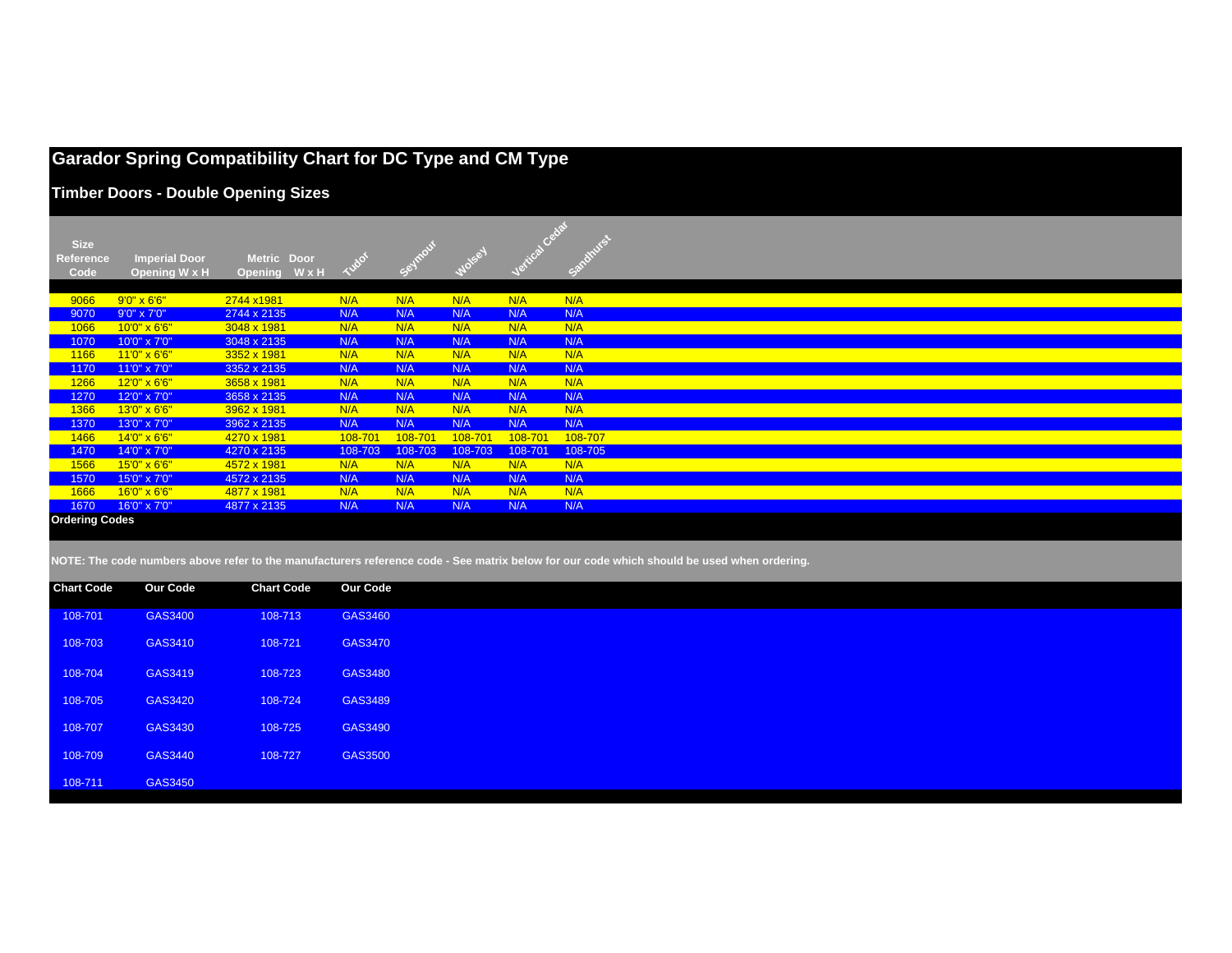## **Garador Spring Compatibility Chart for DC Type and CM Type**

**Timber Doors - Double Opening Sizes**

| <b>Size</b><br><b>Reference</b><br>Code | <b>Imperial Door</b><br>Opening W x H | Metric Door<br>WxH<br><b>Opening</b> |            |            |            |            |            |
|-----------------------------------------|---------------------------------------|--------------------------------------|------------|------------|------------|------------|------------|
|                                         |                                       |                                      |            |            |            |            |            |
| 9066                                    | $9'0'' \times 6'6''$                  | 2744 x1981                           | N/A        | N/A        | N/A        | N/A        | N/A        |
| 9070                                    | 9'0" x 7'0"                           | 2744 x 2135                          | N/A        | N/A        | N/A        | N/A        | N/A        |
| 1066                                    | $10'0'' \times 6'6''$                 | 3048 x 1981                          | N/A        | N/A        | N/A        | N/A        | N/A        |
| 1070                                    | 10'0" x 7'0"                          | 3048 x 2135                          | N/A        | N/A        | N/A        | N/A        | N/A        |
| 1166                                    | $11'0'' \times 6'6''$                 | 3352 x 1981                          | N/A        | N/A        | N/A        | N/A        | N/A        |
| 1170                                    | 11'0" x 7'0"                          | 3352 x 2135                          | N/A        | N/A        | N/A        | N/A        | N/A        |
| 1266<br>1270                            | 12'0" x 6'6"<br>12'0" x 7'0"          | 3658 x 1981<br>3658 x 2135           | N/A<br>N/A | N/A<br>N/A | N/A<br>N/A | N/A<br>N/A | N/A<br>N/A |
| 1366                                    | 13'0" x 6'6"                          | 3962 x 1981                          | N/A        | N/A        | N/A        | N/A        | N/A        |
| 1370                                    | 13'0" x 7'0"                          | 3962 x 2135                          | N/A        | N/A        | N/A        | N/A        | N/A        |
| 1466                                    | 14'0" x 6'6"                          | 4270 x 1981                          | 108-701    | 108-701    | 108-701    | 108-701    | 108-707    |
| 1470                                    | 14'0" x 7'0"                          | 4270 x 2135                          | 108-703    | 108-703    | 108-703    | 108-701    | 108-705    |
| 1566                                    | $15'0'' \times 6'6''$                 | 4572 x 1981                          | N/A        | N/A        | N/A        | N/A        | N/A        |
| 1570                                    | 15'0" x 7'0"                          | 4572 x 2135                          | N/A        | N/A        | N/A        | N/A        | N/A        |
| 1666                                    | 16'0" x 6'6"                          | 4877 x 1981                          | N/A        | N/A        | N/A        | N/A        | N/A        |
| 1670                                    | 16'0" x 7'0"                          | 4877 x 2135                          | N/A        | N/A        | N/A        | N/A        | N/A        |
| <b>Ordering Codes</b>                   |                                       |                                      |            |            |            |            |            |

**NOTE: The code numbers above refer to the manufacturers reference code - See matrix below for our code which should be used when ordering.**

| <b>Chart Code</b> | <b>Our Code</b> | <b>Chart Code</b> | <b>Our Code</b> |
|-------------------|-----------------|-------------------|-----------------|
| 108-701           | GAS3400         | 108-713           | GAS3460         |
| 108-703           | GAS3410         | 108-721           | GAS3470         |
| 108-704           | GAS3419         | 108-723           | GAS3480         |
| 108-705           | GAS3420         | 108-724           | GAS3489         |
| 108-707           | GAS3430         | 108-725           | GAS3490         |
| 108-709           | GAS3440         | 108-727           | GAS3500         |
| 108-711           | GAS3450         |                   |                 |